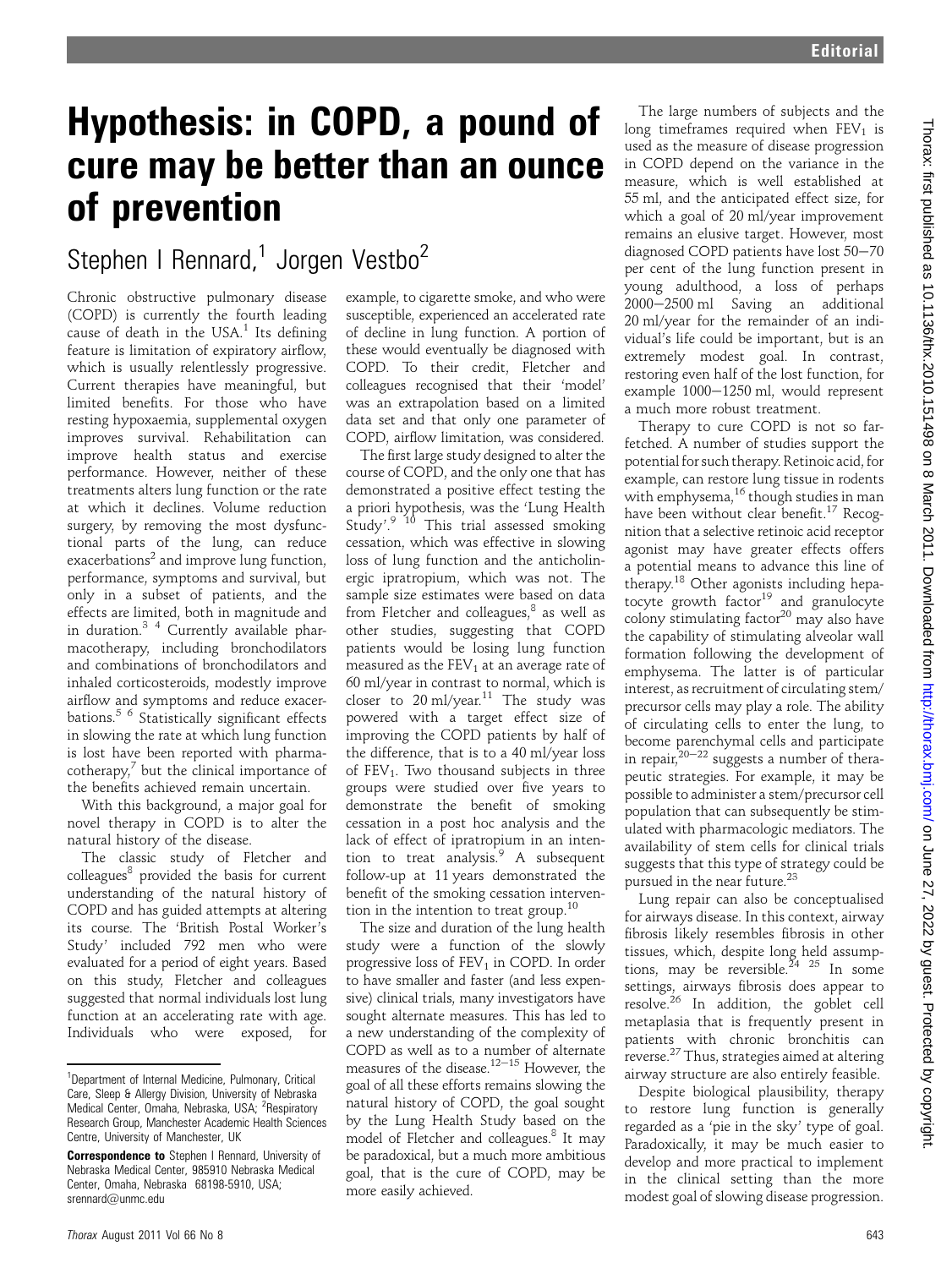## Hypothesis: in COPD, a pound of cure may be better than an ounce of prevention

## Stephen I Rennard,<sup>1</sup> Jorgen Vestbo<sup>2</sup>

Chronic obstructive pulmonary disease (COPD) is currently the fourth leading cause of death in the USA. $1$  Its defining feature is limitation of expiratory airflow, which is usually relentlessly progressive. Current therapies have meaningful, but limited benefits. For those who have resting hypoxaemia, supplemental oxygen improves survival. Rehabilitation can improve health status and exercise performance. However, neither of these treatments alters lung function or the rate at which it declines. Volume reduction surgery, by removing the most dysfunctional parts of the lung, can reduce exacerbations<sup>2</sup> and improve lung function, performance, symptoms and survival, but only in a subset of patients, and the effects are limited, both in magnitude and in duration.3 4 Currently available pharmacotherapy, including bronchodilators and combinations of bronchodilators and inhaled corticosteroids, modestly improve airflow and symptoms and reduce exacerbations.5 6 Statistically significant effects in slowing the rate at which lung function is lost have been reported with pharma- $\text{cotherapy}^7$  but the clinical importance of the benefits achieved remain uncertain.

With this background, a major goal for novel therapy in COPD is to alter the natural history of the disease.

The classic study of Fletcher and colleagues<sup>8</sup> provided the basis for current understanding of the natural history of COPD and has guided attempts at altering its course. The 'British Postal Worker's Study' included 792 men who were evaluated for a period of eight years. Based on this study, Fletcher and colleagues suggested that normal individuals lost lung function at an accelerating rate with age. Individuals who were exposed, for

example, to cigarette smoke, and who were susceptible, experienced an accelerated rate of decline in lung function. A portion of these would eventually be diagnosed with COPD. To their credit, Fletcher and colleagues recognised that their 'model' was an extrapolation based on a limited data set and that only one parameter of COPD, airflow limitation, was considered.

The first large study designed to alter the course of COPD, and the only one that has demonstrated a positive effect testing the a priori hypothesis, was the 'Lung Health Study'.<sup>9 10</sup> This trial assessed smoking cessation, which was effective in slowing loss of lung function and the anticholinergic ipratropium, which was not. The sample size estimates were based on data from Fletcher and colleagues, $8$  as well as other studies, suggesting that COPD patients would be losing lung function measured as the  $FEV<sub>1</sub>$  at an average rate of 60 ml/year in contrast to normal, which is closer to  $20 \text{ ml/year}^{11}$  The study was powered with a target effect size of improving the COPD patients by half of the difference, that is to a 40 ml/year loss of  $FEV<sub>1</sub>$ . Two thousand subjects in three groups were studied over five years to demonstrate the benefit of smoking cessation in a post hoc analysis and the lack of effect of ipratropium in an intention to treat analysis. $9$  A subsequent follow-up at 11 years demonstrated the benefit of the smoking cessation intervention in the intention to treat group.<sup>10</sup>

The size and duration of the lung health study were a function of the slowly progressive loss of  $FEV<sub>1</sub>$  in COPD. In order to have smaller and faster (and less expensive) clinical trials, many investigators have sought alternate measures. This has led to a new understanding of the complexity of COPD as well as to a number of alternate measures of the disease.<sup>12–15</sup> However, the goal of all these efforts remains slowing the natural history of COPD, the goal sought by the Lung Health Study based on the model of Fletcher and colleagues.<sup>8</sup> It may be paradoxical, but a much more ambitious goal, that is the cure of COPD, may be more easily achieved.

The large numbers of subjects and the long timeframes required when  $FEV<sub>1</sub>$  is used as the measure of disease progression in COPD depend on the variance in the measure, which is well established at 55 ml, and the anticipated effect size, for which a goal of 20 ml/year improvement remains an elusive target. However, most diagnosed COPD patients have lost 50-70 per cent of the lung function present in young adulthood, a loss of perhaps 2000-2500 ml Saving an additional 20 ml/year for the remainder of an individual's life could be important, but is an extremely modest goal. In contrast, restoring even half of the lost function, for example 1000-1250 ml, would represent a much more robust treatment.

Therapy to cure COPD is not so farfetched. A number of studies support the potential for such therapy. Retinoic acid, for example, can restore lung tissue in rodents with emphysema,<sup>16</sup> though studies in man have been without clear benefit.<sup>17</sup> Recognition that a selective retinoic acid receptor agonist may have greater effects offers a potential means to advance this line of therapy.<sup>18</sup> Other agonists including hepatocyte growth factor<sup>19</sup> and granulocyte colony stimulating factor $20$  may also have the capability of stimulating alveolar wall formation following the development of emphysema. The latter is of particular interest, as recruitment of circulating stem/ precursor cells may play a role. The ability of circulating cells to enter the lung, to become parenchymal cells and participate in repair,  $20-22$  suggests a number of therapeutic strategies. For example, it may be possible to administer a stem/precursor cell population that can subsequently be stimulated with pharmacologic mediators. The availability of stem cells for clinical trials suggests that this type of strategy could be pursued in the near future.23

Lung repair can also be conceptualised for airways disease. In this context, airway fibrosis likely resembles fibrosis in other tissues, which, despite long held assumptions, may be reversible.<sup>24</sup> <sup>25</sup> In some settings, airways fibrosis does appear to resolve.<sup>26</sup> In addition, the goblet cell metaplasia that is frequently present in patients with chronic bronchitis can reverse.<sup>27</sup> Thus, strategies aimed at altering airway structure are also entirely feasible.

Despite biological plausibility, therapy to restore lung function is generally regarded as a 'pie in the sky' type of goal. Paradoxically, it may be much easier to develop and more practical to implement in the clinical setting than the more modest goal of slowing disease progression.

<sup>&</sup>lt;sup>1</sup>Department of Internal Medicine, Pulmonary, Critical Care, Sleep & Allergy Division, University of Nebraska<br>Medical Center, Omaha, Nebraska, USA; <sup>2</sup>Respiratory Research Group, Manchester Academic Health Sciences Centre, University of Manchester, UK

**Correspondence to** Stephen I Rennard, University of Nebraska Medical Center, 985910 Nebraska Medical Center, Omaha, Nebraska 68198-5910, USA; srennard@unmc.edu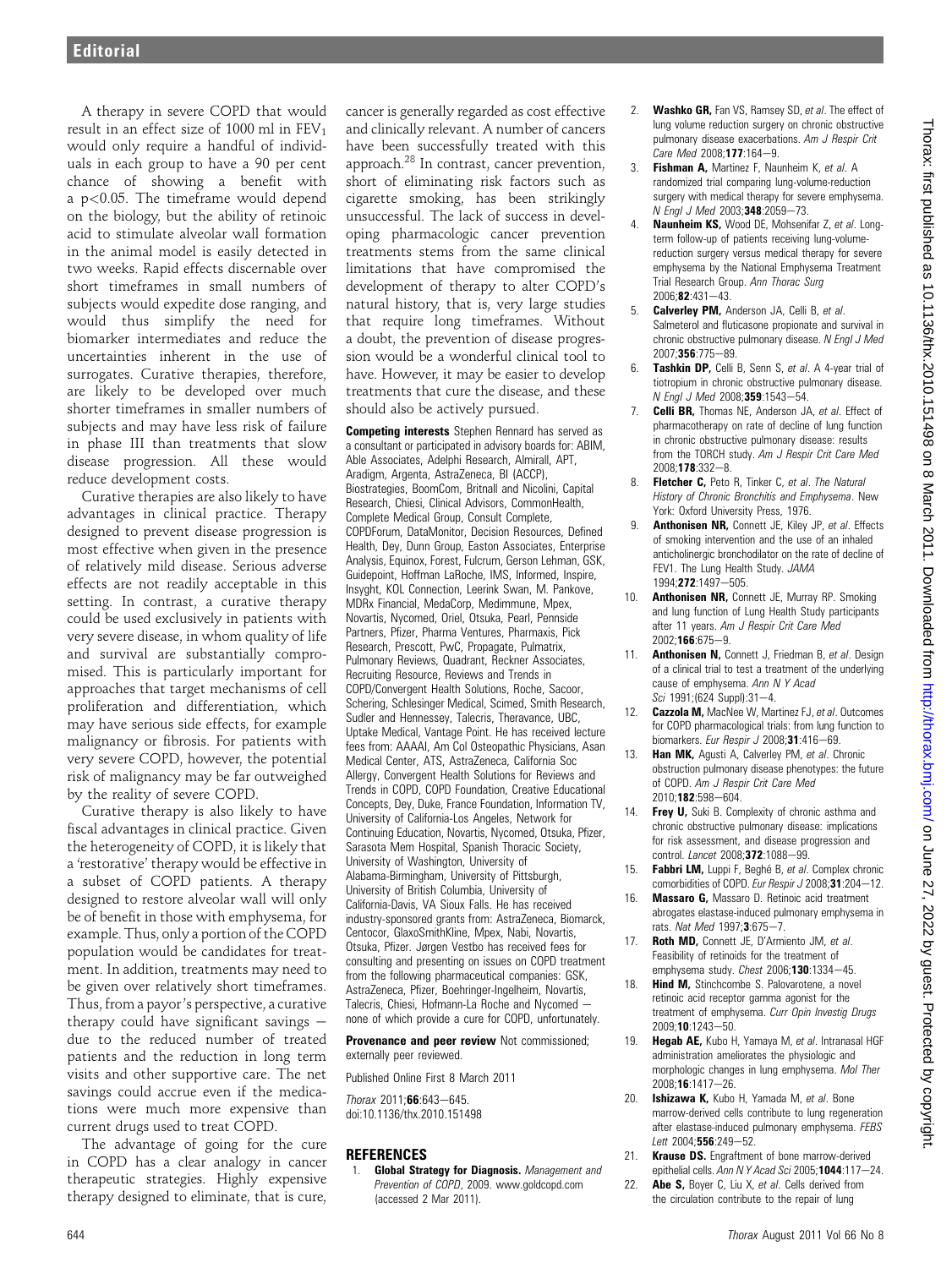A therapy in severe COPD that would result in an effect size of 1000 ml in  $FEV<sub>1</sub>$ would only require a handful of individuals in each group to have a 90 per cent chance of showing a benefit with a p<0.05. The timeframe would depend on the biology, but the ability of retinoic acid to stimulate alveolar wall formation in the animal model is easily detected in two weeks. Rapid effects discernable over short timeframes in small numbers of subjects would expedite dose ranging, and would thus simplify the need for biomarker intermediates and reduce the uncertainties inherent in the use of surrogates. Curative therapies, therefore, are likely to be developed over much shorter timeframes in smaller numbers of subjects and may have less risk of failure in phase III than treatments that slow disease progression. All these would reduce development costs.

Curative therapies are also likely to have advantages in clinical practice. Therapy designed to prevent disease progression is most effective when given in the presence of relatively mild disease. Serious adverse effects are not readily acceptable in this setting. In contrast, a curative therapy could be used exclusively in patients with very severe disease, in whom quality of life and survival are substantially compromised. This is particularly important for approaches that target mechanisms of cell proliferation and differentiation, which may have serious side effects, for example malignancy or fibrosis. For patients with very severe COPD, however, the potential risk of malignancy may be far outweighed by the reality of severe COPD.

Curative therapy is also likely to have fiscal advantages in clinical practice. Given the heterogeneity of COPD, it is likely that a 'restorative' therapy would be effective in a subset of COPD patients. A therapy designed to restore alveolar wall will only be of benefit in those with emphysema, for example. Thus, only a portion of the COPD population would be candidates for treatment. In addition, treatments may need to be given over relatively short timeframes. Thus, from a payor's perspective, a curative therapy could have significant savings  $$ due to the reduced number of treated patients and the reduction in long term visits and other supportive care. The net savings could accrue even if the medications were much more expensive than current drugs used to treat COPD.

The advantage of going for the cure in COPD has a clear analogy in cancer therapeutic strategies. Highly expensive therapy designed to eliminate, that is cure,

cancer is generally regarded as cost effective and clinically relevant. A number of cancers have been successfully treated with this approach.28 In contrast, cancer prevention, short of eliminating risk factors such as cigarette smoking, has been strikingly unsuccessful. The lack of success in developing pharmacologic cancer prevention treatments stems from the same clinical limitations that have compromised the development of therapy to alter COPD's natural history, that is, very large studies that require long timeframes. Without a doubt, the prevention of disease progression would be a wonderful clinical tool to have. However, it may be easier to develop treatments that cure the disease, and these should also be actively pursued.

Competing interests Stephen Rennard has served as a consultant or participated in advisory boards for: ABIM, Able Associates, Adelphi Research, Almirall, APT, Aradigm, Argenta, AstraZeneca, BI (ACCP), Biostrategies, BoomCom, Britnall and Nicolini, Capital Research, Chiesi, Clinical Advisors, CommonHealth, Complete Medical Group, Consult Complete, COPDForum, DataMonitor, Decision Resources, Defined Health, Dey, Dunn Group, Easton Associates, Enterprise Analysis, Equinox, Forest, Fulcrum, Gerson Lehman, GSK, Guidepoint, Hoffman LaRoche, IMS, Informed, Inspire, Insyght, KOL Connection, Leerink Swan, M. Pankove, MDRx Financial, MedaCorp, Medimmune, Mpex, Novartis, Nycomed, Oriel, Otsuka, Pearl, Pennside Partners, Pfizer, Pharma Ventures, Pharmaxis, Pick Research, Prescott, PwC, Propagate, Pulmatrix, Pulmonary Reviews, Quadrant, Reckner Associates, Recruiting Resource, Reviews and Trends in COPD/Convergent Health Solutions, Roche, Sacoor, Schering, Schlesinger Medical, Scimed, Smith Research, Sudler and Hennessey, Talecris, Theravance, UBC, Uptake Medical, Vantage Point. He has received lecture fees from: AAAAI, Am Col Osteopathic Physicians, Asan Medical Center, ATS, AstraZeneca, California Soc Allergy, Convergent Health Solutions for Reviews and Trends in COPD, COPD Foundation, Creative Educational Concepts, Dey, Duke, France Foundation, Information TV, University of California-Los Angeles, Network for Continuing Education, Novartis, Nycomed, Otsuka, Pfizer, Sarasota Mem Hospital, Spanish Thoracic Society, University of Washington, University of Alabama-Birmingham, University of Pittsburgh, University of British Columbia, University of California-Davis, VA Sioux Falls. He has received industry-sponsored grants from: AstraZeneca, Biomarck, Centocor, GlaxoSmithKline, Mpex, Nabi, Novartis, Otsuka, Pfizer. Jørgen Vestbo has received fees for consulting and presenting on issues on COPD treatment from the following pharmaceutical companies: GSK, AstraZeneca, Pfizer, Boehringer-Ingelheim, Novartis, Talecris, Chiesi, Hofmann-La Roche and Nycomed none of which provide a cure for COPD, unfortunately.

**Provenance and peer review** Not commissioned: externally peer reviewed.

Published Online First 8 March 2011

Thorax  $2011;66:643-645$ . doi:10.1136/thx.2010.151498

## **REFERENCES**

Global Strategy for Diagnosis. Management and Prevention of COPD, 2009. www.goldcopd.com (accessed 2 Mar 2011).

- 2. Washko GR, Fan VS, Ramsey SD, et al. The effect of lung volume reduction surgery on chronic obstructive pulmonary disease exacerbations. Am J Respir Crit  $C$ are Med 2008:177:164-9.
- 3. Fishman  $\Delta$  Martinez F, Naunheim K, et al.  $\Delta$ randomized trial comparing lung-volume-reduction surgery with medical therapy for severe emphysema. N Enal J Med 2003:348:2059-73.
- Naunheim KS, Wood DE, Mohsenifar Z, et al. Longterm follow-up of patients receiving lung-volumereduction surgery versus medical therapy for severe emphysema by the National Emphysema Treatment Trial Research Group. Ann Thorac Surg  $2006:82:431-43$
- 5. **Calverley PM, Anderson JA, Celli B, et al.** Salmeterol and fluticasone propionate and survival in chronic obstructive pulmonary disease. N Engl J Med 2007:356:775-89.
- 6. Tashkin DP, Celli B, Senn S, et al. A 4-year trial of tiotropium in chronic obstructive pulmonary disease. N Engl J Med 2008;359:1543-54.
- 7. **Celli BR,** Thomas NE, Anderson JA, et al. Effect of pharmacotherapy on rate of decline of lung function in chronic obstructive pulmonary disease: results from the TORCH study. Am J Respir Crit Care Med 2008;178:332-8.
- 8. **Fletcher C.** Peto R. Tinker C. et al. The Natural History of Chronic Bronchitis and Emphysema. New York: Oxford University Press, 1976.
- 9. **Anthonisen NR, Connett JE, Kiley JP, et al. Effects** of smoking intervention and the use of an inhaled anticholinergic bronchodilator on the rate of decline of FEV1. The Lung Health Study. JAMA 1994;272:1497-505.
- 10. **Anthonisen NR, Connett JE, Murray RP. Smoking** and lung function of Lung Health Study participants after 11 years. Am J Respir Crit Care Med  $2002:166:675-9$
- Anthonisen N, Connett J, Friedman B, et al. Design of a clinical trial to test a treatment of the underlying cause of emphysema. Ann N Y Acad Sci 1991;(624 Suppl):31-4.
- 12. Cazzola M, MacNee W, Martinez FJ, et al. Outcomes for COPD pharmacological trials: from lung function to biomarkers. Eur Respir J 2008;31:416-69.
- 13. Han MK, Agusti A, Calverley PM, et al. Chronic obstruction pulmonary disease phenotypes: the future of COPD. Am J Respir Crit Care Med 2010;182:598-604.
- 14. Frey U, Suki B. Complexity of chronic asthma and chronic obstructive pulmonary disease: implications for risk assessment, and disease progression and control. Lancet 2008;372:1088-99.
- 15. Fabbri LM, Luppi F, Beghé B, et al. Complex chronic comorbidities of COPD. Eur Respir J 2008;31:204-12.
- 16. Massaro G, Massaro D. Retinoic acid treatment abrogates elastase-induced pulmonary emphysema in rats. Nat Med  $1997; 3.675 - 7$ .
- 17. Roth MD, Connett JE, D'Armiento JM, et al. Feasibility of retinoids for the treatment of emphysema study. Chest  $2006; 130:1334-45$ .
- 18. **Hind M,** Stinchcombe S. Palovarotene, a novel retinoic acid receptor gamma agonist for the treatment of emphysema. Curr Opin Investig Drugs 2009;10:1243-50.
- 19. Hegab AE, Kubo H, Yamaya M, et al. Intranasal HGF administration ameliorates the physiologic and morphologic changes in lung emphysema. Mol Ther  $2008:16:1417-26$
- 20. **Ishizawa K,** Kubo H, Yamada M, et al. Bone marrow-derived cells contribute to lung regeneration after elastase-induced pulmonary emphysema. FEBS  $lett 2004:556:249-52.$
- 21. **Krause DS.** Engraftment of bone marrow-derived epithelial cells. Ann N Y Acad Sci 2005;1044:117-24.
- 22. **Abe S**, Boyer C, Liu X, et al. Cells derived from the circulation contribute to the repair of lung